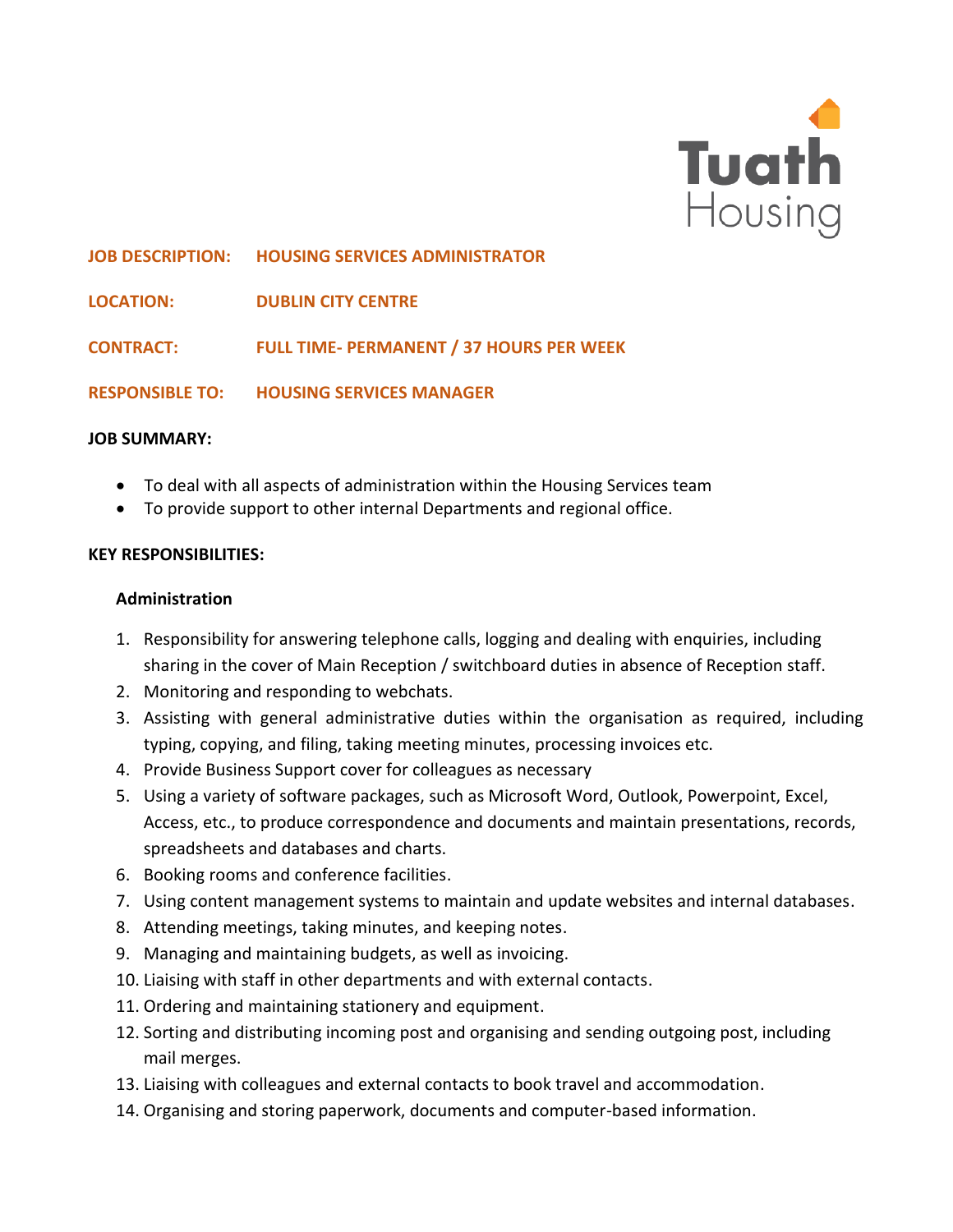

**JOB DESCRIPTION: HOUSING SERVICES ADMINISTRATOR**

**LOCATION: DUBLIN CITY CENTRE**

**CONTRACT: FULL TIME- PERMANENT / 37 HOURS PER WEEK**

**RESPONSIBLE TO: HOUSING SERVICES MANAGER** 

#### **JOB SUMMARY:**

- To deal with all aspects of administration within the Housing Services team
- To provide support to other internal Departments and regional office.

### **KEY RESPONSIBILITIES:**

#### **Administration**

- 1. Responsibility for answering telephone calls, logging and dealing with enquiries, including sharing in the cover of Main Reception / switchboard duties in absence of Reception staff.
- 2. Monitoring and responding to webchats.
- 3. Assisting with general administrative duties within the organisation as required, including typing, copying, and filing, taking meeting minutes, processing invoices etc.
- 4. Provide Business Support cover for colleagues as necessary
- 5. Using a variety of software packages, such as Microsoft Word, Outlook, Powerpoint, Excel, Access, etc., to produce correspondence and documents and maintain presentations, records, spreadsheets and databases and charts.
- 6. Booking rooms and conference facilities.
- 7. Using content management systems to maintain and update websites and internal databases.
- 8. Attending meetings, taking minutes, and keeping notes.
- 9. Managing and maintaining budgets, as well as invoicing.
- 10. Liaising with staff in other departments and with external contacts.
- 11. Ordering and maintaining stationery and equipment.
- 12. Sorting and distributing incoming post and organising and sending outgoing post, including mail merges.
- 13. Liaising with colleagues and external contacts to book travel and accommodation.
- 14. Organising and storing paperwork, documents and computer-based information.